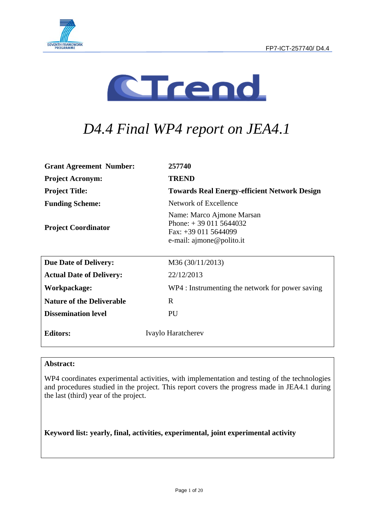



# *D4.4 Final WP4 report on JEA4.1*

| <b>Grant Agreement Number:</b>   | 257740                                                                                                  |
|----------------------------------|---------------------------------------------------------------------------------------------------------|
| <b>Project Acronym:</b>          | <b>TREND</b>                                                                                            |
| <b>Project Title:</b>            | <b>Towards Real Energy-efficient Network Design</b>                                                     |
| <b>Funding Scheme:</b>           | Network of Excellence                                                                                   |
| <b>Project Coordinator</b>       | Name: Marco Ajmone Marsan<br>Phone: $+390115644032$<br>Fax: +39 011 5644099<br>e-mail: ajmone@polito.it |
| <b>Due Date of Delivery:</b>     | M36 (30/11/2013)                                                                                        |
| <b>Actual Date of Delivery:</b>  | 22/12/2013                                                                                              |
| Workpackage:                     | WP4 : Instrumenting the network for power saving                                                        |
| <b>Nature of the Deliverable</b> | R                                                                                                       |
| <b>Dissemination level</b>       | PU                                                                                                      |
| <b>Editors:</b>                  | Ivaylo Haratcherev                                                                                      |

#### **Abstract:**

WP4 coordinates experimental activities, with implementation and testing of the technologies and procedures studied in the project. This report covers the progress made in JEA4.1 during the last (third) year of the project.

**Keyword list: yearly, final, activities, experimental, joint experimental activity**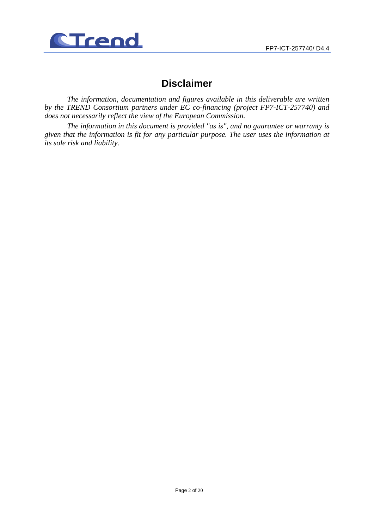

## **Disclaimer**

*The information, documentation and figures available in this deliverable are written by the TREND Consortium partners under EC co-financing (project FP7-ICT-257740) and does not necessarily reflect the view of the European Commission.* 

*The information in this document is provided "as is", and no guarantee or warranty is given that the information is fit for any particular purpose. The user uses the information at its sole risk and liability.*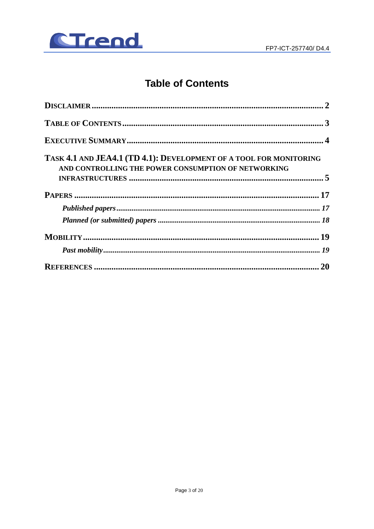

# **Table of Contents**

| TASK 4.1 AND JEA4.1 (TD 4.1): DEVELOPMENT OF A TOOL FOR MONITORING<br>AND CONTROLLING THE POWER CONSUMPTION OF NETWORKING |
|---------------------------------------------------------------------------------------------------------------------------|
|                                                                                                                           |
|                                                                                                                           |
|                                                                                                                           |
|                                                                                                                           |
|                                                                                                                           |
|                                                                                                                           |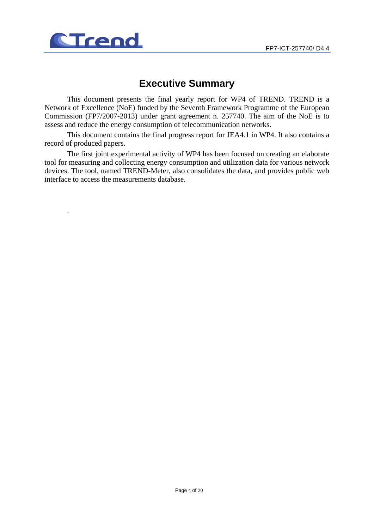

.

# **Executive Summary**

This document presents the final yearly report for WP4 of TREND. TREND is a Network of Excellence (NoE) funded by the Seventh Framework Programme of the European Commission (FP7/2007-2013) under grant agreement n. 257740. The aim of the NoE is to assess and reduce the energy consumption of telecommunication networks.

This document contains the final progress report for JEA4.1 in WP4. It also contains a record of produced papers.

The first joint experimental activity of WP4 has been focused on creating an elaborate tool for measuring and collecting energy consumption and utilization data for various network devices. The tool, named TREND-Meter, also consolidates the data, and provides public web interface to access the measurements database.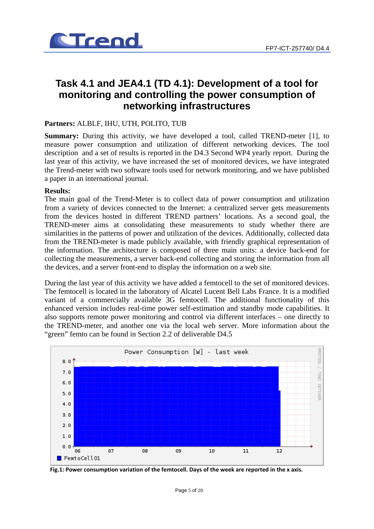

## **Task 4.1 and JEA4.1 (TD 4.1): Development of a tool for monitoring and controlling the power consumption of networking infrastructures**

#### **Partners:** ALBLF, IHU, UTH, POLITO, TUB

**Summary:** During this activity, we have developed a tool, called TREND-meter [1], to measure power consumption and utilization of different networking devices. The tool description and a set of results is reported in the D4.3 Second WP4 yearly report. During the last year of this activity, we have increased the set of monitored devices, we have integrated the Trend-meter with two software tools used for network monitoring, and we have published a paper in an international journal.

#### **Results:**

The main goal of the Trend-Meter is to collect data of power consumption and utilization from a variety of devices connected to the Internet: a centralized server gets measurements from the devices hosted in different TREND partners' locations. As a second goal, the TREND-meter aims at consolidating these measurements to study whether there are similarities in the patterns of power and utilization of the devices. Additionally, collected data from the TREND-meter is made publicly available, with friendly graphical representation of the information. The architecture is composed of three main units: a device back-end for collecting the measurements, a server back-end collecting and storing the information from all the devices, and a server front-end to display the information on a web site.

During the last year of this activity we have added a femtocell to the set of monitored devices. The femtocell is located in the laboratory of Alcatel Lucent Bell Labs France. It is a modified variant of a commercially available 3G femtocell. The additional functionality of this enhanced version includes real-time power self-estimation and standby mode capabilities. It also supports remote power monitoring and control via different interfaces – one directly to the TREND-meter, and another one via the local web server. More information about the "green" femto can be found in Section 2.2 of deliverable D4.5



**Fig.1: Power consumption variation of the femtocell. Days of the week are reported in the x axis.**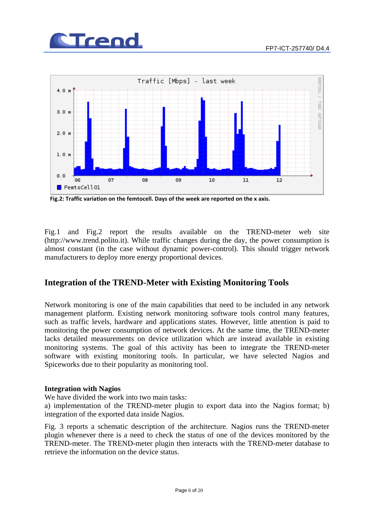



**Fig.2: Traffic variation on the femtocell. Days of the week are reported on the x axis.**

Fig.1 and Fig.2 report the results available on the TREND-meter web site (http://www.trend.polito.it). While traffic changes during the day, the power consumption is almost constant (in the case without dynamic power-control). This should trigger network manufacturers to deploy more energy proportional devices.

### **Integration of the TREND-Meter with Existing Monitoring Tools**

Network monitoring is one of the main capabilities that need to be included in any network management platform. Existing network monitoring software tools control many features, such as traffic levels, hardware and applications states. However, little attention is paid to monitoring the power consumption of network devices. At the same time, the TREND-meter lacks detailed measurements on device utilization which are instead available in existing monitoring systems. The goal of this activity has been to integrate the TREND-meter software with existing monitoring tools. In particular, we have selected Nagios and Spiceworks due to their popularity as monitoring tool.

#### **Integration with Nagios**

We have divided the work into two main tasks:

a) implementation of the TREND-meter plugin to export data into the Nagios format; b) integration of the exported data inside Nagios.

Fig. 3 reports a schematic description of the architecture. Nagios runs the TREND-meter plugin whenever there is a need to check the status of one of the devices monitored by the TREND-meter. The TREND-meter plugin then interacts with the TREND-meter database to retrieve the information on the device status.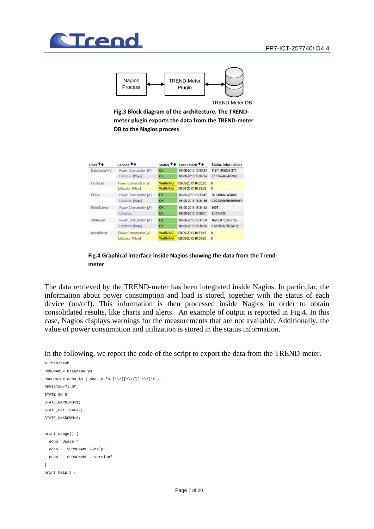



TREND-Meter DB

**Fig.3 Block diagram of the architecture. The TREND‐ meter plugin exports the data from the TREND‐meter DB to the Nagios process**

| Host **              | Service <sup>+</sup> +    | Status <sup>**</sup> | Last Check <sup>+</sup> + | <b>Status Information</b> |
|----------------------|---------------------------|----------------------|---------------------------|---------------------------|
| <b>DataCenterIHU</b> | Power Consumption [W]     | OK                   | 08-09-2013 16:33:45       | 11271.6620521173          |
|                      | <b>Utilization [Mbps]</b> | OK                   | 08-09-2013 16:34:34       | 0.10742468485342          |
| Femtocell            | Power Consumption [W]     | <b>WARNING</b>       | 08-09-2013 16:32:23       | $\Omega$                  |
|                      | <b>Utilization [Mbps]</b> | <b>WARNING</b>       | 08-09-2013 16:33:58       | $\bf{0}$                  |
| PCPoli               | Power Consumption [W]     | OK                   | 08-09-2013 16:32:47       | 26 8484848484848          |
|                      | <b>Utilization IMbps1</b> | OK                   | 08-09-2013 16:34:36       | 0.00237066666666667       |
| PolitoSubnet         | Power Consumption [W]     | OK                   | 08-09-2013 16:34:12       | 3075                      |
|                      | Utilization               | OK                   | 08-09-2013 16:36:01       | 1.4734725                 |
| SWRouter             | Power Consumption [W]     | OK                   | 08-09-2013 16:34:50       | 169.534125576765          |
|                      | <b>Utilization [Mbps]</b> | OK                   | 08-09-2013 16:36:26       | 0.563535235294118         |
| routerRoma           | Power Consumption [W]     | <b>WARNING</b>       | 08-09-2013 16:32:45       | $\mathbf{0}$              |
|                      | <b>Utilization [Mbps]</b> | <b>WARNING</b>       | 08-09-2013 16:34:20       | $\mathbf{0}$              |



The data retrieved by the TREND-meter has been integrated inside Nagios. In particular, the information about power consumption and load is stored, together with the status of each device (on/off). This information is then processed inside Nagios in order to obtain consolidated results, like charts and alerts. An example of output is reported in Fig.4. In this case, Nagios displays warnings for the measurements that are not available. Additionally, the value of power consumption and utilization is stored in the status information.

In the following, we report the code of the script to export the data from the TREND-meter.

```
#!/bin/bash 
PROGNAME=`basename $0` 
PROGPATH=`echo $0 | sed -e 's,[\\/][^\\/][^\\/]*$,,'`
REVISION="1.0" 
\mathbb{C}TATE \capK-0;
STATE_WARNING=1; 
STATE_CRITICAL=2;
STATE_UNKNOWN=3;
print_usage() { 
   echo "Usage:" 
   echo " $PROGNAME --help" 
 echo " $PROGNAME --version"
} 
print_help() {
```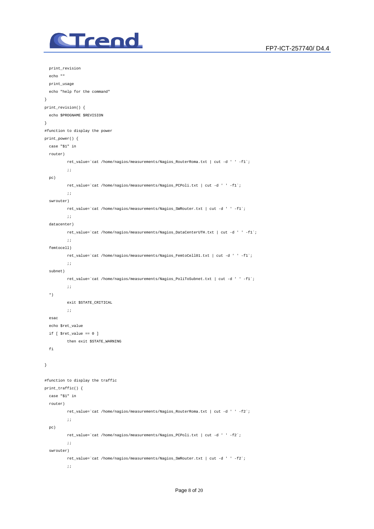

```
 print_revision 
  echo "" 
   print_usage 
   echo "help for the command" 
} 
print_revision() { 
   echo $PROGNAME $REVISION 
} 
#function to display the power 
print_power() { 
  case "$1" in 
   router) 
           ret_value=`cat /home/nagios/measurements/Nagios_RouterRoma.txt | cut -d ' ' -f1`; 
          \cdots pc) 
          ret_value=`cat /home/nagios/measurements/Nagios_PCPoli.txt | cut -d ' ' -f1`; 
          \cdots swrouter) 
           ret_value=`cat /home/nagios/measurements/Nagios_SWRouter.txt | cut -d ' ' -f1`; 
          \langle i \rangle i datacenter) 
           ret_value=`cat /home/nagios/measurements/Nagios_DataCenterUTH.txt | cut -d ' ' -f1`; 
            ;; 
   femtocell) 
           ret_value=`cat /home/nagios/measurements/Nagios_FemtoCell01.txt | cut -d ' ' -f1`; 
          \cdot;;
   subnet) 
           ret_value=`cat /home/nagios/measurements/Nagios_PoliToSubnet.txt | cut -d ' ' -f1`; 
         \cdots;
   *) 
           exit $STATE_CRITICAL 
           ;; 
   esac 
   echo $ret_value 
   if [ $ret_value == 0 ] 
           then exit $STATE_WARNING 
   fi 
} 
#function to display the traffic 
print_traffic() { 
  case "$1" in 
   router) 
           ret_value=`cat /home/nagios/measurements/Nagios_RouterRoma.txt | cut -d ' ' -f2`; 
           ;; 
   pc) 
           ret_value=`cat /home/nagios/measurements/Nagios_PCPoli.txt | cut -d ' ' -f2`; 
          \cdot;;
   swrouter) 
           ret_value=`cat /home/nagios/measurements/Nagios_SWRouter.txt | cut -d ' ' -f2`; 
          \cdot;
```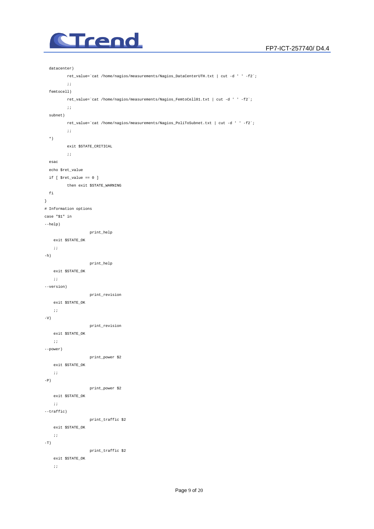

```
 datacenter) 
           ret_value=`cat /home/nagios/measurements/Nagios_DataCenterUTH.txt | cut -d ' ' -f2`; 
           \cdots;
   femtocell) 
           <code>ret_value=`cat /home/nagios/measurements/Nagios_FemtoCell01.txt | cut -d ' ' -f2`;</code>
          \cdots subnet) 
             ret_value=`cat /home/nagios/measurements/Nagios_PoliToSubnet.txt | cut -d ' ' -f2`; 
           \cdots *) 
           exit $STATE_CRITICAL 
          \cdot;;
   esac 
   echo $ret_value 
   if [ $ret_value == 0 ] 
           then exit $STATE_WARNING 
  fi 
} 
# Information options 
case "$1" in 
--help) 
                       print_help 
    exit $STATE_OK 
  \langle \cdot \rangle ; \langle \cdot \rangle-h) 
                      print_help 
    exit $STATE_OK 
    \langle \hat{r} \hat{r} \rangle--version) 
                       print_revision 
   exit $STATE_OK 
    \langle i|i\rangle-V)
                      print_revision 
     exit $STATE_OK 
    \langle i|i\rangle--power) 
                      print_power $2 
   exit $STATE_OK 
   \cdots;
-P)
                      print_power $2 
   exit $STATE_OK 
   \mathcal{G}(\mathcal{G}) is a set of \mathcal{G}(\mathcal{G})--traffic) 
                       print_traffic $2 
     exit $STATE_OK 
    \langle i|i\rangle-T) 
                       print_traffic $2 
     exit $STATE_OK 
    \langle \cdot \rangle ;
```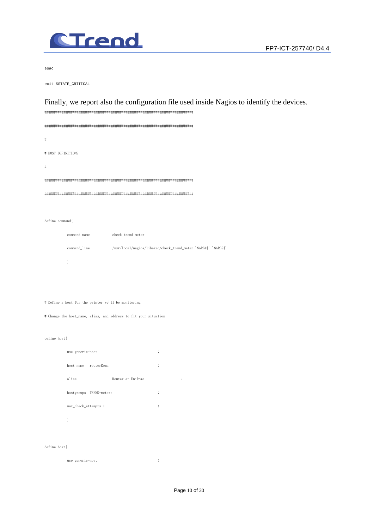

 $esac$ 

exit \$STATE\_CRITICAL

### Finally, we report also the configuration file used inside Nagios to identify the devices.

 $'$ \$ARG2\$'

| #                                                                      |
|------------------------------------------------------------------------|
| # HOST DEFINITIONS                                                     |
| #                                                                      |
|                                                                        |
|                                                                        |
|                                                                        |
| define command{                                                        |
| command_name<br>check_trend_meter                                      |
| command_line<br>/usr/local/nagios/libexec/check_trend_meter '\$ARG1\$' |
| $\bigg\}$                                                              |
|                                                                        |
|                                                                        |
| # Define a host for the printer we'll be monitoring                    |
| # Change the host_name, alias, and address to fit your situation       |
|                                                                        |
| define host{                                                           |
| use generic-host<br>$\vdots$                                           |
| $\vdots$<br>host_name routerRoma                                       |
| alias<br>Router at UniRoma<br>$\vdots$                                 |
| hostgroups TREND-meters<br>$\vdots$                                    |
| max_check_attempts 1<br>$\vdots$                                       |

 $\,$   $\,$ 

 $\operatorname{define\ host} \{$ 

 $\ddot{\cdot}$ use generic-host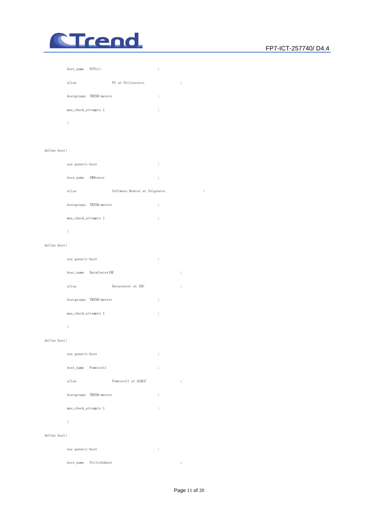

# host\_name PCPoli ; alias PC at Politecnico ; hostgroups TREND-meters ; max\_check\_attempts 1 ; }

#### define host{

| use generic-host |          |                              | $\ddot{\cdot}$ |  |
|------------------|----------|------------------------------|----------------|--|
| host_name        | SWRouter |                              | $\ddot{\cdot}$ |  |
| alias            |          | Software Router at Unigenova | ٠<br>٠         |  |

| hostgroups TREND-meters | ٠<br>, |
|-------------------------|--------|
| max_check_attempts 1    | ;      |
|                         |        |

#### define host{

| use generic-host        |                   | ٠<br>,   |        |
|-------------------------|-------------------|----------|--------|
| host_name DataCenterIHU |                   |          | ٠<br>÷ |
| alias                   | Datacenter at IHU |          | ٠<br>, |
| hostgroups TREND-meters |                   | $\vdots$ |        |
| max_check_attempts 1    |                   | ٠<br>,   |        |
|                         |                   |          |        |

#### define host{

|              | use generic-host     |                         |                    | $\vdots$ |          |
|--------------|----------------------|-------------------------|--------------------|----------|----------|
|              | host_name Femtocell  |                         |                    | $\vdots$ |          |
|              | alias                |                         | Femtocell at ALBLF |          | $\vdots$ |
|              |                      | hostgroups TREND-meters |                    | $\vdots$ |          |
|              | max_check_attempts 1 |                         |                    | $\vdots$ |          |
|              | ł                    |                         |                    |          |          |
| define host{ |                      |                         |                    |          |          |
|              | use generic-host     |                         |                    | $\vdots$ |          |

host\_name PolitoSubnet ;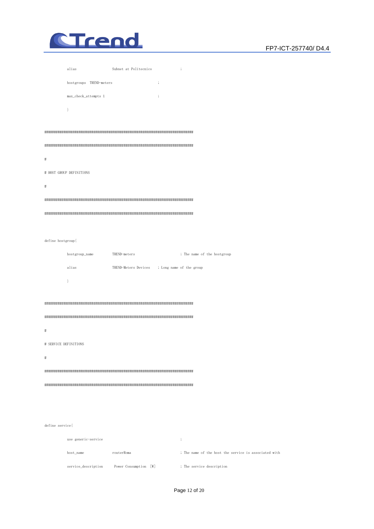

|                   | alias                    | Subnet at Politecnico                         | $\vdots$                                              |  |
|-------------------|--------------------------|-----------------------------------------------|-------------------------------------------------------|--|
|                   | hostgroups TREND-meters  | $\vdots$                                      |                                                       |  |
|                   | max_check_attempts 1     | $\vdots$                                      |                                                       |  |
|                   | $\mathcal{E}$            |                                               |                                                       |  |
|                   |                          |                                               |                                                       |  |
|                   |                          |                                               |                                                       |  |
|                   |                          |                                               |                                                       |  |
| $\sharp$          |                          |                                               |                                                       |  |
|                   | # HOST GROUP DEFINITIONS |                                               |                                                       |  |
| $\sharp$          |                          |                                               |                                                       |  |
|                   |                          |                                               |                                                       |  |
|                   |                          |                                               |                                                       |  |
|                   |                          |                                               |                                                       |  |
| define hostgroup{ |                          |                                               |                                                       |  |
|                   | hostgroup_name           | TREND-meters                                  | ; The name of the hostgroup                           |  |
|                   | alias                    | TREND-Meters Devices ; Long name of the group |                                                       |  |
|                   | $\mathcal{E}$            |                                               |                                                       |  |
|                   |                          |                                               |                                                       |  |
|                   |                          |                                               |                                                       |  |
|                   |                          |                                               |                                                       |  |
| #                 |                          |                                               |                                                       |  |
|                   | # SERVICE DEFINITIONS    |                                               |                                                       |  |
| #                 |                          |                                               |                                                       |  |
|                   |                          |                                               |                                                       |  |
|                   |                          |                                               |                                                       |  |
|                   |                          |                                               |                                                       |  |
|                   |                          |                                               |                                                       |  |
|                   |                          |                                               |                                                       |  |
| define service{   |                          |                                               |                                                       |  |
|                   | use generic-service      |                                               | $\vdots$                                              |  |
|                   | host_name                | routerRoma                                    | ; The name of the host the service is associated with |  |
|                   | service_description      | Power Consumption [W]                         | ; The service description                             |  |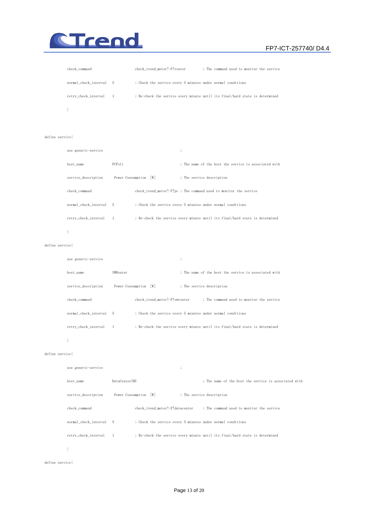

#### FP7-ICT-257740/ D4.4

| check command           | check trend meter!-P!router                                                  | ; The command used to monitor the service |
|-------------------------|------------------------------------------------------------------------------|-------------------------------------------|
| normal check interval 5 | ; Check the service every 5 minutes under normal conditions                  |                                           |
| retry_check_interval 1  | ; Re-check the service every minute until its final/hard state is determined |                                           |
|                         |                                                                              |                                           |

#### define service{

| use generic-service   |                |                       | $\vdots$                                                                     |
|-----------------------|----------------|-----------------------|------------------------------------------------------------------------------|
| host_name             | PCPoli         |                       | ; The name of the host the service is associated with                        |
| service_description   |                | Power Consumption [W] | ; The service description                                                    |
| check_command         |                |                       | check_trend_meter!-P!pc ; The command used to monitor the service            |
| normal_check_interval | -5             |                       | ; Check the service every 5 minutes under normal conditions                  |
| retry_check_interval  | $\overline{1}$ |                       | ; Re-check the service every minute until its final/hard state is determined |
|                       |                |                       |                                                                              |

#### define service{

| use generic-service   |                               |                                                                              |
|-----------------------|-------------------------------|------------------------------------------------------------------------------|
| host name             | SWRouter                      | : The name of the host the service is associated with                        |
| service description   | Power Consumption [W]         | ; The service description                                                    |
| check command         | check trend meter!-P!swrouter | ; The command used to monitor the service                                    |
| normal_check_interval | -5                            | ; Check the service every 5 minutes under normal conditions                  |
| retry_check_interval  | $\frac{1}{2}$                 | ; Re-check the service every minute until its final/hard state is determined |
|                       |                               |                                                                              |

#### $\mathbb{R}^3$  .

#### define service{

| use generic-service     |                |                                                             | $\cdot$ |                                                                              |
|-------------------------|----------------|-------------------------------------------------------------|---------|------------------------------------------------------------------------------|
| host_name               | DataCenterIHU  |                                                             |         | ; The name of the host the service is associated with                        |
| service_description     |                | Power Consumption [W]                                       |         | ; The service description                                                    |
| check command           |                |                                                             |         | check trend meter!-P!datacenter ; The command used to monitor the service    |
| normal_check_interval 5 |                | ; Check the service every 5 minutes under normal conditions |         |                                                                              |
| retry_check_interval    | $\overline{1}$ |                                                             |         | ; Re-check the service every minute until its final/hard state is determined |
|                         |                |                                                             |         |                                                                              |

define service{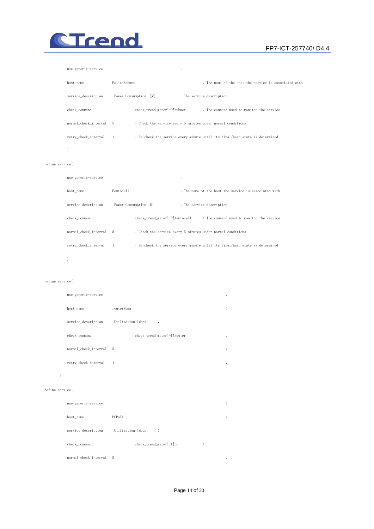

#### FP7-ICT-257740/ D4.4

| use generic-service     |                |                                                             | $\cdot$                   |                                                                              |
|-------------------------|----------------|-------------------------------------------------------------|---------------------------|------------------------------------------------------------------------------|
| host name               | PolitoSubnet   |                                                             |                           | : The name of the host the service is associated with                        |
| service_description     |                | Power Consumption [W]                                       | ; The service description |                                                                              |
| check_command           |                | check_trend_meter!-P!subnet                                 |                           | ; The command used to monitor the service                                    |
| normal_check_interval 5 |                | ; Check the service every 5 minutes under normal conditions |                           |                                                                              |
| retry_check_interval    | $\overline{1}$ |                                                             |                           | ; Re-check the service every minute until its final/hard state is determined |
|                         |                |                                                             |                           |                                                                              |

#### define service{

| use generic-service     |              |                                | ٠<br>÷ |                                                                              |  |
|-------------------------|--------------|--------------------------------|--------|------------------------------------------------------------------------------|--|
| host_name               | Femtoce11    |                                |        | : The name of the host the service is associated with                        |  |
| service_description     |              | Power Consumption [W]          |        | ; The service description                                                    |  |
| check_command           |              | check trend meter!-P!femtocell |        | ; The command used to monitor the service                                    |  |
| normal_check_interval 5 |              |                                |        | ; Check the service every 5 minutes under normal conditions                  |  |
| retry_check_interval    | $\mathbf{1}$ |                                |        | ; Re-check the service every minute until its final/hard state is determined |  |
|                         |              |                                |        |                                                                              |  |

#### define service{

| use generic-service   |                                |              |  |  |  |
|-----------------------|--------------------------------|--------------|--|--|--|
| host_name             | routerRoma                     | ٠<br>$\cdot$ |  |  |  |
| service_description   | Utilization [Mbps]<br>$\vdots$ |              |  |  |  |
| check_command         | check_trend_meter!-T!router    | ٠<br>,       |  |  |  |
| normal_check_interval | 5                              | $\vdots$     |  |  |  |
| retry_check_interval  | 1                              | ٠<br>,       |  |  |  |
|                       |                                |              |  |  |  |

#### define service{

| use generic-service   |                                                |                           | $\vdots$ |
|-----------------------|------------------------------------------------|---------------------------|----------|
| host_name             | PCPoli                                         |                           | $\vdots$ |
| service_description   | Utilization [Mbps]<br>$\overline{\phantom{a}}$ |                           |          |
| check_command         | check_trend_meter!-T!pc                        | ٠<br>$\ddot{\phantom{0}}$ |          |
| normal_check_interval | -5                                             |                           | ٠<br>٠   |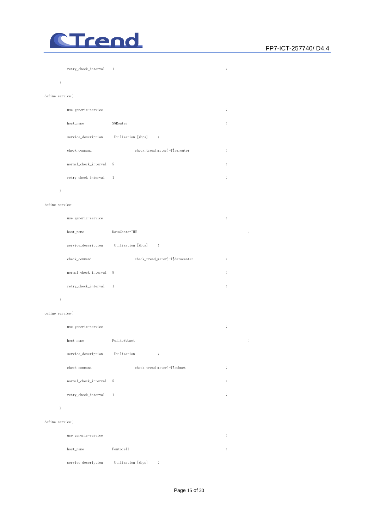

| retry_check_interval 1 |  |  |
|------------------------|--|--|
|                        |  |  |

#### $\mathbb{R}^3$

#### define service{

| use generic-service   |                                | , |
|-----------------------|--------------------------------|---|
| host_name             | SWRouter                       | ٠ |
| service_description   | Utilization [Mbps]<br>$\vdots$ |   |
| check_command         | check_trend_meter!-T!swrouter  | ٠ |
| normal_check_interval | - 5                            | ٠ |
| retry_check_interval  |                                |   |

#### $\mathbb{R}^3$

#### define service{

| use generic-service     |                                            | ٠<br>$\cdot$ |          |
|-------------------------|--------------------------------------------|--------------|----------|
| host_name               | DataCenterIHU                              |              | $\vdots$ |
| service_description     | Utilization [Mbps]<br>$\ddot{\phantom{1}}$ |              |          |
| check_command           | check_trend_meter!-T!datacenter            | $\vdots$     |          |
| normal_check_interval 5 |                                            | ٠<br>$\cdot$ |          |
| retry_check_interval    | $\overline{1}$                             | $\vdots$     |          |

#### $\mathbb{R}^3$  . The set of  $\mathbb{R}^3$

#### define service{

|  | use generic-service     |                             | ٠<br>$\cdot$         |                      |
|--|-------------------------|-----------------------------|----------------------|----------------------|
|  | host_name               | PolitoSubnet                |                      | $\ddot{\phantom{1}}$ |
|  | service_description     | Utilization<br>$\vdots$     |                      |                      |
|  | check_command           | check_trend_meter!-T!subnet | $\vdots$             |                      |
|  | normal_check_interval 5 |                             | $\vdots$             |                      |
|  | retry_check_interval    | $\overline{1}$              | $\bullet$<br>$\cdot$ |                      |
|  |                         |                             |                      |                      |
|  |                         |                             |                      |                      |

#### define service{

| use generic-service |                     |                      |
|---------------------|---------------------|----------------------|
| host_name           | Femtoce11           | $\ddot{\phantom{1}}$ |
| service_description | Utilization [Mbps]; |                      |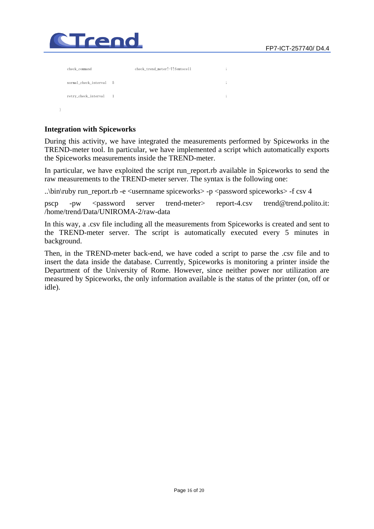

|  | check_command           |                | check_trend_meter!-T!femtocell | ٠<br>,       |
|--|-------------------------|----------------|--------------------------------|--------------|
|  | normal_check_interval 5 |                |                                | ٠<br>$\cdot$ |
|  | retry_check_interval    | $\overline{1}$ |                                | ٠<br>$\cdot$ |
|  |                         |                |                                |              |

#### **Integration with Spiceworks**

During this activity, we have integrated the measurements performed by Spiceworks in the TREND-meter tool. In particular, we have implemented a script which automatically exports the Spiceworks measurements inside the TREND-meter.

In particular, we have exploited the script run\_report.rb available in Spiceworks to send the raw measurements to the TREND-meter server. The syntax is the following one:

..\bin\ruby run\_report.rb -e <usernname spiceworks> -p <password spiceworks> -f csv 4

pscp -pw <password server trend-meter> report-4.csv trend@trend.polito.it: /home/trend/Data/UNIROMA-2/raw-data

In this way, a .csv file including all the measurements from Spiceworks is created and sent to the TREND-meter server. The script is automatically executed every 5 minutes in background.

Then, in the TREND-meter back-end, we have coded a script to parse the .csv file and to insert the data inside the database. Currently, Spiceworks is monitoring a printer inside the Department of the University of Rome. However, since neither power nor utilization are measured by Spiceworks, the only information available is the status of the printer (on, off or idle).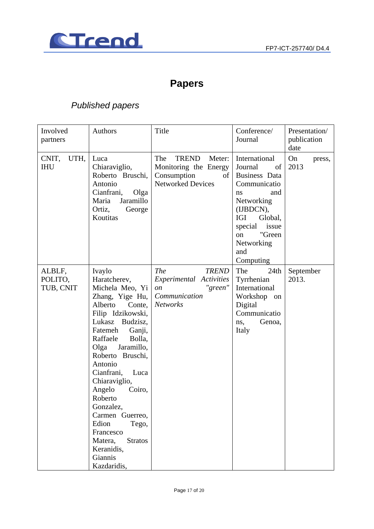

# **Papers**

## *Published papers*

| Involved<br>partners           | Authors                                                                                                                                                                                                                                                                                                                                                                                                                             | Title                                                                                               | Conference/<br>Journal                                                                                                                                                                          | Presentation/<br>publication<br>date |
|--------------------------------|-------------------------------------------------------------------------------------------------------------------------------------------------------------------------------------------------------------------------------------------------------------------------------------------------------------------------------------------------------------------------------------------------------------------------------------|-----------------------------------------------------------------------------------------------------|-------------------------------------------------------------------------------------------------------------------------------------------------------------------------------------------------|--------------------------------------|
| CNIT,<br>UTH,<br><b>IHU</b>    | Luca<br>Chiaraviglio,<br>Roberto Bruschi,<br>Antonio<br>Cianfrani,<br>Olga<br>Jaramillo<br>Maria<br>Ortiz,<br>George<br>Koutitas                                                                                                                                                                                                                                                                                                    | The<br>TREND<br>Meter:<br>Monitoring the Energy<br>Consumption<br>of<br><b>Networked Devices</b>    | International<br>Journal<br>of<br>Business Data<br>Communicatio<br>and<br>ns<br>Networking<br>(IJBDCN),<br>IGI<br>Global,<br>issue<br>special<br>"Green<br>on<br>Networking<br>and<br>Computing | On<br>press,<br>2013                 |
| ALBLF,<br>POLITO,<br>TUB, CNIT | Ivaylo<br>Haratcherev,<br>Michela Meo, Yi<br>Zhang, Yige Hu,<br>Alberto<br>Conte,<br>Filip Idzikowski,<br>Lukasz Budzisz,<br>Fatemeh<br>Ganji,<br>Raffaele<br>Bolla,<br>Olga<br>Jaramillo,<br>Roberto Bruschi,<br>Antonio<br>Cianfrani,<br>Luca<br>Chiaraviglio,<br>Angelo<br>Coiro,<br>Roberto<br>Gonzalez,<br>Carmen Guerreo,<br>Edion<br>Tego,<br>Francesco<br><b>Stratos</b><br>Matera,<br>Keranidis,<br>Giannis<br>Kazdaridis, | <b>The</b><br><b>TREND</b><br>Experimental Activities<br>"green"<br>on<br>Communication<br>Networks | The<br>24th<br>Tyrrhenian<br>International<br>Workshop on<br>Digital<br>Communicatio<br>Genoa,<br>ns,<br>Italy                                                                                  | September<br>2013.                   |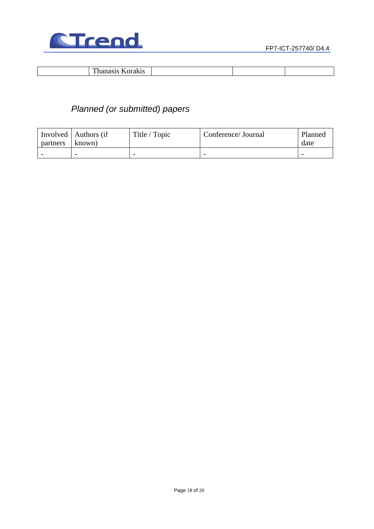

| $\mathbf{m}$ |  |  |  |
|--------------|--|--|--|
|              |  |  |  |

# *Planned (or submitted) papers*

| partners                 | Involved   Authors (if<br>known) | Title / Topic            | Conference/Journal       | Planned<br>date |
|--------------------------|----------------------------------|--------------------------|--------------------------|-----------------|
| $\overline{\phantom{0}}$ | $\overline{\phantom{0}}$         | $\overline{\phantom{0}}$ | $\overline{\phantom{0}}$ |                 |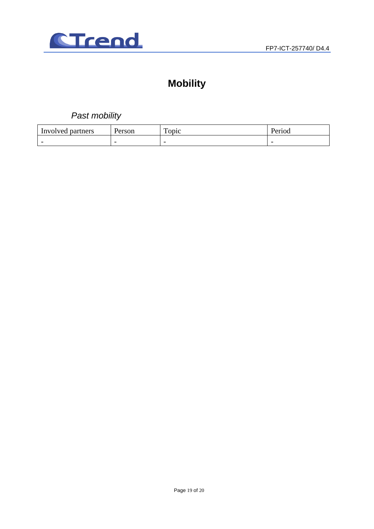

# **Mobility**

*Past mobility* 

| Involved                 | Person                   | m                        | T.                       |
|--------------------------|--------------------------|--------------------------|--------------------------|
| partners                 |                          | <b>ODIC</b>              | 'er10d                   |
| $\overline{\phantom{0}}$ | $\overline{\phantom{0}}$ | $\overline{\phantom{0}}$ | $\overline{\phantom{0}}$ |